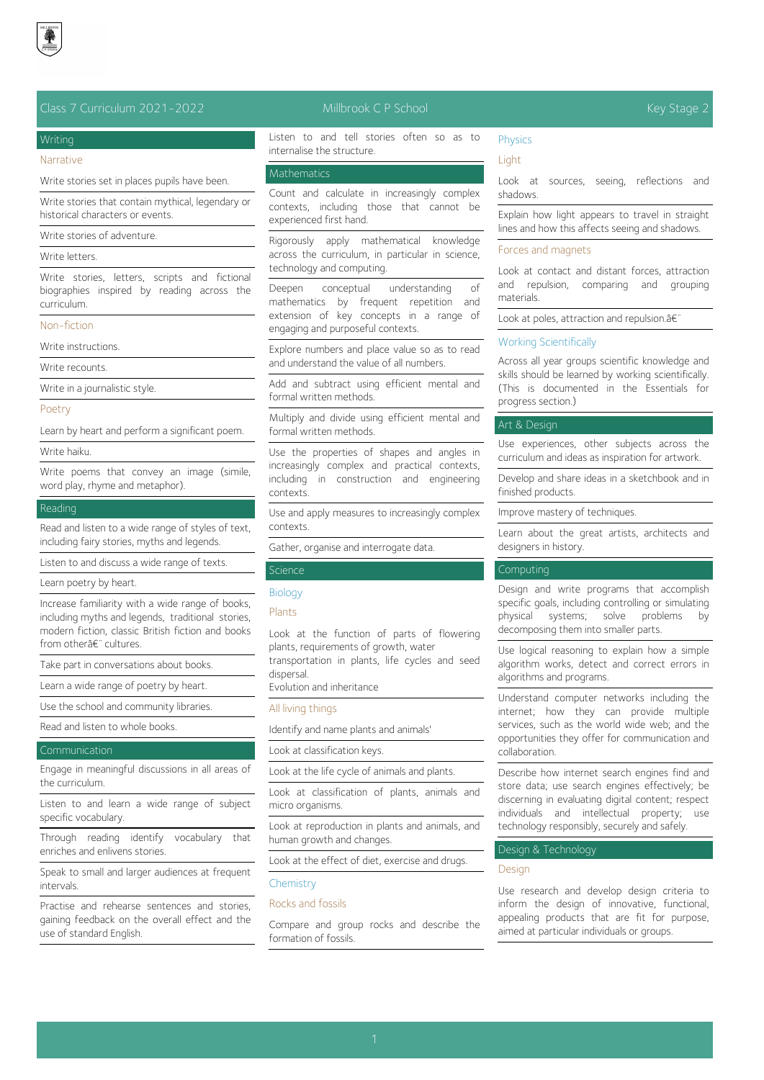

## Class 7 Curriculum 2021-2022 Millbrook C P School Key Stage 2

# Writing

Narrative

Write stories set in places pupils have been.

Write stories that contain mythical, legendary or historical characters or events.

Write stories of adventure.

## Write letters.

Write stories, letters, scripts and fictional biographies inspired by reading across the curriculum.

## Non-fiction

Write instructions.

Write recounts.

Write in a journalistic style.

### Poetry

Learn by heart and perform a significant poem.

#### Write haiku.

Write poems that convey an image (simile, word play, rhyme and metaphor).

## Reading

Read and listen to a wide range of styles of text, including fairy stories, myths and legends.

Listen to and discuss a wide range of texts.

Learn poetry by heart.

Increase familiarity with a wide range of books, including myths and legends, traditional stories, modern fiction, classic British fiction and books from otherâ€" cultures.

Take part in conversations about books.

Learn a wide range of poetry by heart.

Use the school and community libraries.

Read and listen to whole books.

#### Communication

Engage in meaningful discussions in all areas of the curriculum.

Listen to and learn a wide range of subject specific vocabulary.

Through reading identify vocabulary that enriches and enlivens stories.

Speak to small and larger audiences at frequent intervals.

Practise and rehearse sentences and stories, gaining feedback on the overall effect and the use of standard English.

Listen to and tell stories often so as to internalise the structure.

#### **Mathematics**

Count and calculate in increasingly complex contexts, including those that cannot be experienced first hand.

Rigorously apply mathematical knowledge across the curriculum, in particular in science, technology and computing.

Deepen conceptual understanding of mathematics by frequent repetition and extension of key concepts in a range of engaging and purposeful contexts.

Explore numbers and place value so as to read and understand the value of all numbers.

Add and subtract using efficient mental and formal written methods.

Multiply and divide using efficient mental and formal written methods.

Use the properties of shapes and angles in increasingly complex and practical contexts, including in construction and engineering contexts.

Use and apply measures to increasingly complex contexts.

Gather, organise and interrogate data.

## **Science**

### **Biology**

## Plants

Look at the function of parts of flowering plants, requirements of growth, water transportation in plants, life cycles and seed dispersal.

Evolution and inheritance

### All living things

Identify and name plants and animals'

Look at classification keys.

Look at the life cycle of animals and plants.

Look at classification of plants, animals and micro organisms.

Look at reproduction in plants and animals, and human growth and changes.

Look at the effect of diet, exercise and drugs.

### **Chemistry**

## Rocks and fossils

Compare and group rocks and describe the formation of fossils.

### Physics

**Light** 

Look at sources, seeing, reflections and shadows.

Explain how light appears to travel in straight lines and how this affects seeing and shadows.

## Forces and magnets

Look at contact and distant forces, attraction and repulsion, comparing and grouping materials.

Look at poles, attraction and repulsion.a<sup>€</sup>

### Working Scientifically

Across all year groups scientific knowledge and skills should be learned by working scientifically. (This is documented in the Essentials for progress section.)

## Art & Design

Use experiences, other subjects across the curriculum and ideas as inspiration for artwork.

Develop and share ideas in a sketchbook and in finished products.

Improve mastery of techniques.

Learn about the great artists, architects and designers in history.

## **Computing**

Design and write programs that accomplish specific goals, including controlling or simulating physical systems; solve problems by decomposing them into smaller parts.

Use logical reasoning to explain how a simple algorithm works, detect and correct errors in algorithms and programs.

Understand computer networks including the internet; how they can provide multiple services, such as the world wide web; and the opportunities they offer for communication and collaboration.

Describe how internet search engines find and store data; use search engines effectively; be discerning in evaluating digital content; respect individuals and intellectual property; use technology responsibly, securely and safely.

## Design & Technology

#### Design

Use research and develop design criteria to inform the design of innovative, functional, appealing products that are fit for purpose, aimed at particular individuals or groups.